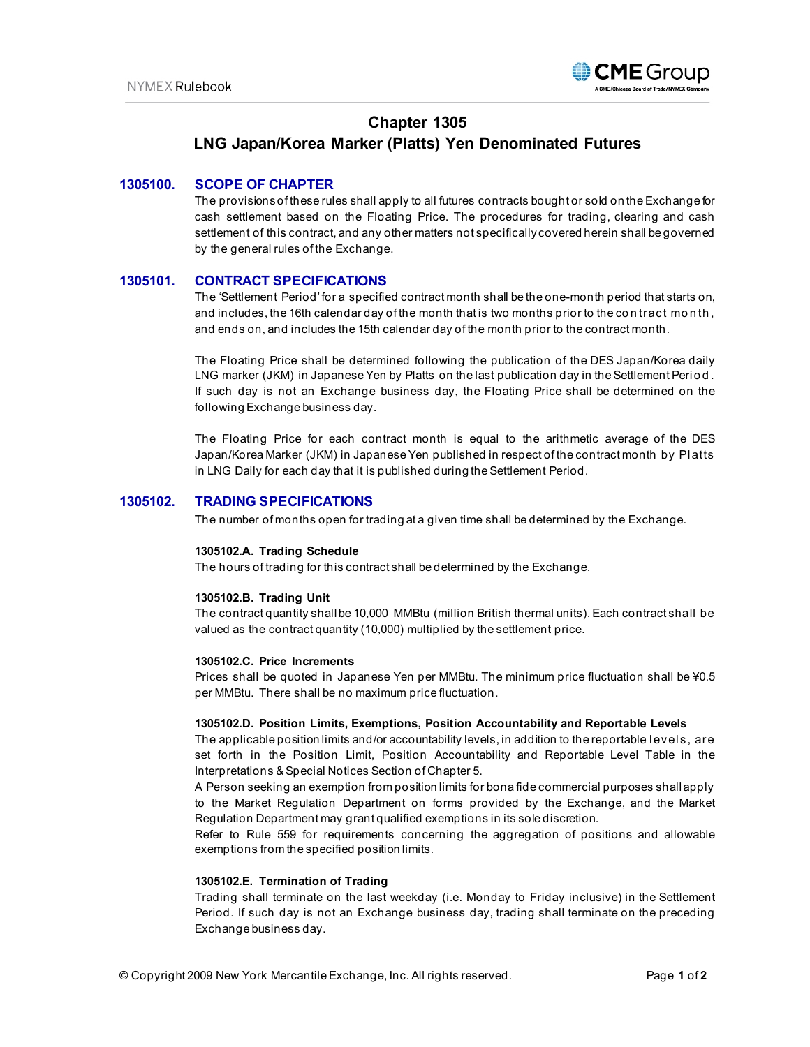

# **Chapter 1305 LNG Japan/Korea Marker (Platts) Yen Denominated Futures**

## **1305100. SCOPE OF CHAPTER**

The provisions of these rules shall apply to all futures contracts bought or sold on the Exchange for cash settlement based on the Floating Price. The procedures for trading, clearing and cash settlement of this contract, and any other matters not specifically covered herein shall be governed by the general rules of the Exchange.

## **1305101. CONTRACT SPECIFICATIONS**

The 'Settlement Period' for a specified contract month shall be the one-month period that starts on, and includes, the 16th calendar day of the month that is two months prior to the co n tract month, and ends on, and includes the 15th calendar day of the month prior to the contract month.

The Floating Price shall be determined following the publication of the DES Japan/Korea daily LNG marker (JKM) in Japanese Yen by Platts on the last publication day in the Settlement Peri o d . If such day is not an Exchange business day, the Floating Price shall be determined on the following Exchange business day.

The Floating Price for each contract month is equal to the arithmetic average of the DES Japan/Korea Marker (JKM) in Japanese Yen published in respect of the contract month by Pl atts in LNG Daily for each day that it is published during the Settlement Period.

## **1305102. TRADING SPECIFICATIONS**

The number of months open for trading at a given time shall be determined by the Exchange.

#### **1305102.A. Trading Schedule**

The hours of trading for this contract shall be determined by the Exchange.

#### **1305102.B. Trading Unit**

The contract quantity shall be 10,000 MMBtu (million British thermal units). Each contract shall be valued as the contract quantity (10,000) multiplied by the settlement price.

#### **1305102.C. Price Increments**

Prices shall be quoted in Japanese Yen per MMBtu. The minimum price fluctuation shall be ¥0.5 per MMBtu. There shall be no maximum price fluctuation.

#### **1305102.D. Position Limits, Exemptions, Position Accountability and Reportable Levels**

The applicable position limits and/or accountability levels, in addition to the reportable l evel s, are set forth in the Position Limit, Position Accountability and Reportable Level Table in the Interpretations & Special Notices Section of Chapter 5.

A Person seeking an exemption from position limits for bona fide commercial purposes shall apply to the Market Regulation Department on forms provided by the Exchange, and the Market Regulation Department may grant qualified exemptions in its sole discretion.

Refer to Rule 559 for requirements concerning the aggregation of positions and allowable exemptions from the specified position limits.

#### **1305102.E. Termination of Trading**

Trading shall terminate on the last weekday (i.e. Monday to Friday inclusive) in the Settlement Period. If such day is not an Exchange business day, trading shall terminate on the preceding Exchange business day.